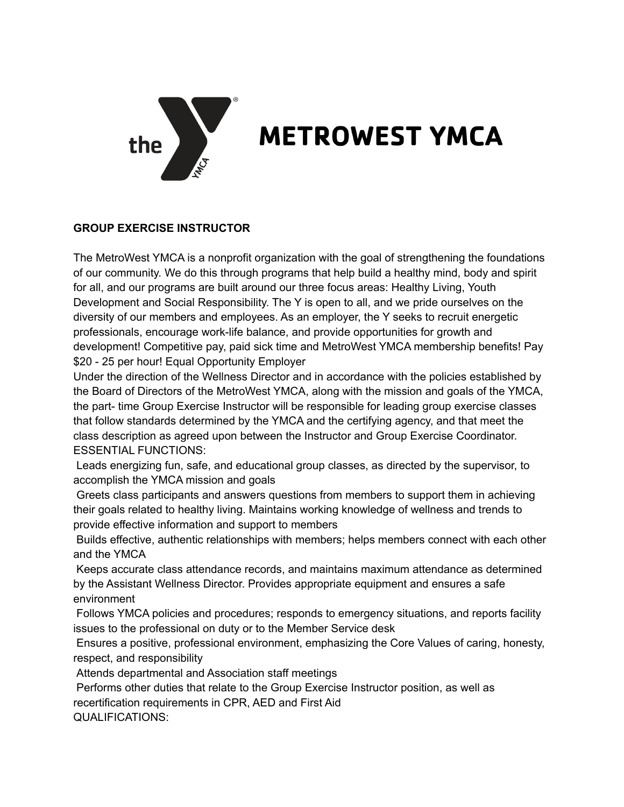

## **METROWEST YMCA**

## **GROUP EXERCISE INSTRUCTOR**

The MetroWest YMCA is a nonprofit organization with the goal of strengthening the foundations of our community. We do this through programs that help build a healthy mind, body and spirit for all, and our programs are built around our three focus areas: Healthy Living, Youth Development and Social Responsibility. The Y is open to all, and we pride ourselves on the diversity of our members and employees. As an employer, the Y seeks to recruit energetic professionals, encourage work-life balance, and provide opportunities for growth and development! Competitive pay, paid sick time and MetroWest YMCA membership benefits! Pay \$20 - 25 per hour! Equal Opportunity Employer

Under the direction of the Wellness Director and in accordance with the policies established by the Board of Directors of the MetroWest YMCA, along with the mission and goals of the YMCA, the part- time Group Exercise Instructor will be responsible for leading group exercise classes that follow standards determined by the YMCA and the certifying agency, and that meet the class description as agreed upon between the Instructor and Group Exercise Coordinator. ESSENTIAL FUNCTIONS:

Leads energizing fun, safe, and educational group classes, as directed by the supervisor, to accomplish the YMCA mission and goals

Greets class participants and answers questions from members to support them in achieving their goals related to healthy living. Maintains working knowledge of wellness and trends to provide effective information and support to members

Builds effective, authentic relationships with members; helps members connect with each other and the YMCA

Keeps accurate class attendance records, and maintains maximum attendance as determined by the Assistant Wellness Director. Provides appropriate equipment and ensures a safe environment

Follows YMCA policies and procedures; responds to emergency situations, and reports facility issues to the professional on duty or to the Member Service desk

Ensures a positive, professional environment, emphasizing the Core Values of caring, honesty, respect, and responsibility

Attends departmental and Association staff meetings

Performs other duties that relate to the Group Exercise Instructor position, as well as recertification requirements in CPR, AED and First Aid

QUALIFICATIONS: